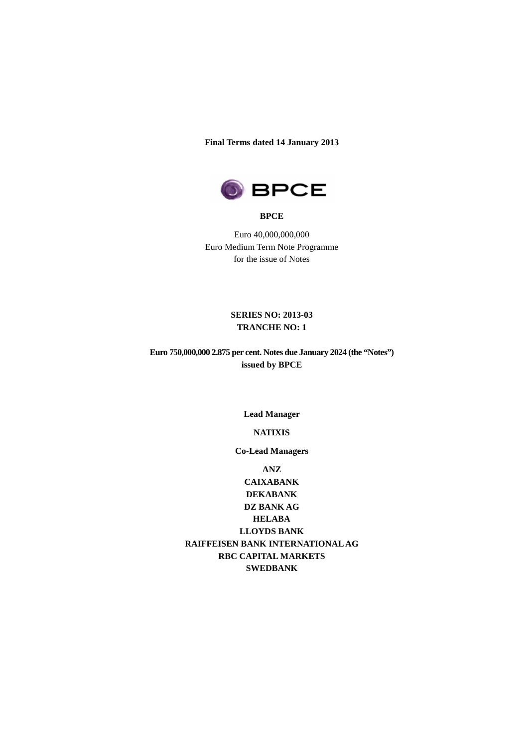#### **Final Terms dated 14 January 2013**



#### **BPCE**

Euro 40,000,000,000 Euro Medium Term Note Programme for the issue of Notes

## **SERIES NO: 2013-03 TRANCHE NO: 1**

**Euro 750,000,000 2.875 per cent. Notes due January 2024 (the "Notes") issued by BPCE** 

**Lead Manager** 

**NATIXIS** 

**Co-Lead Managers** 

**ANZ** 

**CAIXABANK DEKABANK DZ BANK AG HELABA LLOYDS BANK RAIFFEISEN BANK INTERNATIONAL AG RBC CAPITAL MARKETS SWEDBANK**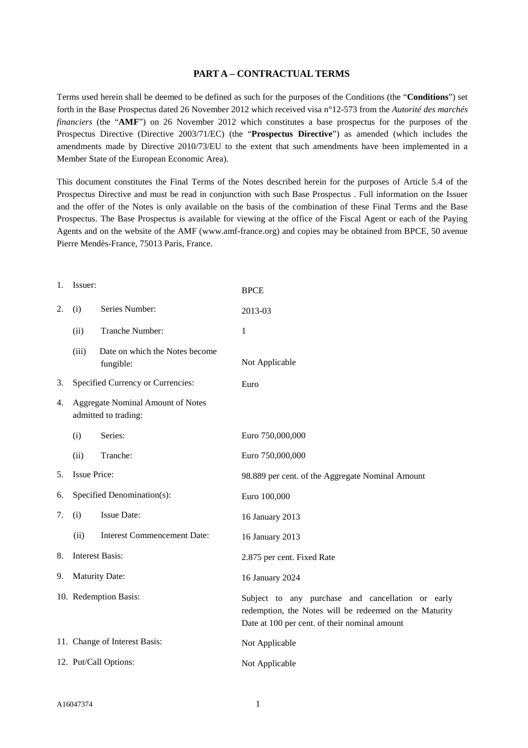## **PART A – CONTRACTUAL TERMS**

Terms used herein shall be deemed to be defined as such for the purposes of the Conditions (the "**Conditions**") set forth in the Base Prospectus dated 26 November 2012 which received visa n°12-573 from the *Autorité des marchés financiers* (the "**AMF**") on 26 November 2012 which constitutes a base prospectus for the purposes of the Prospectus Directive (Directive 2003/71/EC) (the "**Prospectus Directive**") as amended (which includes the amendments made by Directive 2010/73/EU to the extent that such amendments have been implemented in a Member State of the European Economic Area).

This document constitutes the Final Terms of the Notes described herein for the purposes of Article 5.4 of the Prospectus Directive and must be read in conjunction with such Base Prospectus . Full information on the Issuer and the offer of the Notes is only available on the basis of the combination of these Final Terms and the Base Prospectus. The Base Prospectus is available for viewing at the office of the Fiscal Agent or each of the Paying Agents and on the website of the AMF (www.amf-france.org) and copies may be obtained from BPCE, 50 avenue Pierre Mendès-France, 75013 Paris, France.

| 1. | Issuer:                                                          |                                             | <b>BPCE</b>                                                                                                                                                  |
|----|------------------------------------------------------------------|---------------------------------------------|--------------------------------------------------------------------------------------------------------------------------------------------------------------|
| 2. | (i)                                                              | Series Number:                              | 2013-03                                                                                                                                                      |
|    | (ii)                                                             | Tranche Number:                             | 1                                                                                                                                                            |
|    | (iii)                                                            | Date on which the Notes become<br>fungible: | Not Applicable                                                                                                                                               |
| 3. | Specified Currency or Currencies:                                |                                             | Euro                                                                                                                                                         |
| 4. | <b>Aggregate Nominal Amount of Notes</b><br>admitted to trading: |                                             |                                                                                                                                                              |
|    | (i)                                                              | Series:                                     | Euro 750,000,000                                                                                                                                             |
|    | (ii)                                                             | Tranche:                                    | Euro 750,000,000                                                                                                                                             |
| 5. | <b>Issue Price:</b>                                              |                                             | 98.889 per cent. of the Aggregate Nominal Amount                                                                                                             |
| 6. |                                                                  | Specified Denomination(s):                  | Euro 100,000                                                                                                                                                 |
| 7. | (i)                                                              | Issue Date:                                 | 16 January 2013                                                                                                                                              |
|    | (ii)                                                             | <b>Interest Commencement Date:</b>          | 16 January 2013                                                                                                                                              |
| 8. | <b>Interest Basis:</b>                                           |                                             | 2.875 per cent. Fixed Rate                                                                                                                                   |
| 9. | <b>Maturity Date:</b>                                            |                                             | 16 January 2024                                                                                                                                              |
|    | 10. Redemption Basis:                                            |                                             | Subject to any purchase and cancellation or early<br>redemption, the Notes will be redeemed on the Maturity<br>Date at 100 per cent. of their nominal amount |
|    |                                                                  | 11. Change of Interest Basis:               | Not Applicable                                                                                                                                               |
|    | 12. Put/Call Options:                                            |                                             | Not Applicable                                                                                                                                               |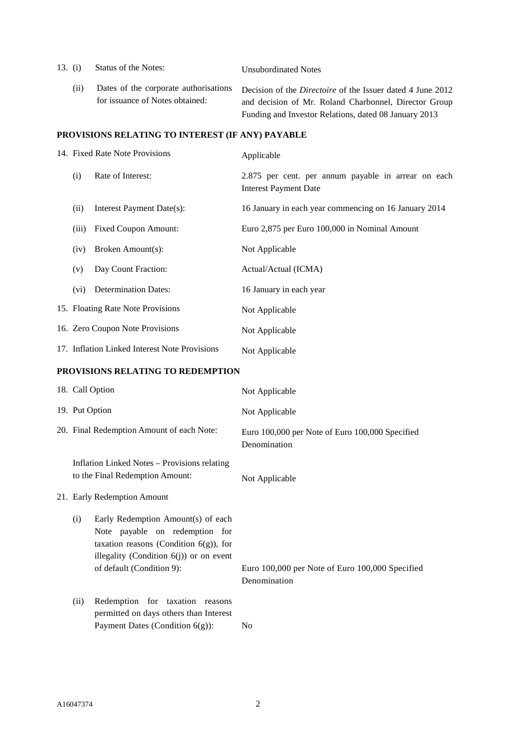| 13. $(i)$                                        | Status of the Notes:                                                     | <b>Unsubordinated Notes</b>                                                                                                                                                         |  |
|--------------------------------------------------|--------------------------------------------------------------------------|-------------------------------------------------------------------------------------------------------------------------------------------------------------------------------------|--|
| (i)                                              | Dates of the corporate authorisations<br>for issuance of Notes obtained: | Decision of the <i>Directoire</i> of the Issuer dated 4 June 2012<br>and decision of Mr. Roland Charbonnel, Director Group<br>Funding and Investor Relations, dated 08 January 2013 |  |
| PROVISIONS RELATING TO INTEREST (IF ANY) PAYABLE |                                                                          |                                                                                                                                                                                     |  |
|                                                  | 14. Fixed Rate Note Provisions                                           | Applicable                                                                                                                                                                          |  |

# (i) Rate of Interest: 2.875 per cent. per annum payable in arrear on each Interest Payment Date (ii) Interest Payment Date(s): 16 January in each year commencing on 16 January 2014 (iii) Fixed Coupon Amount: Euro 2,875 per Euro 100,000 in Nominal Amount (iv) Broken Amount(s): Not Applicable (v) Day Count Fraction: Actual/Actual (ICMA) (vi) Determination Dates: 16 January in each year 15. Floating Rate Note Provisions Not Applicable 16. Zero Coupon Note Provisions Not Applicable 17. Inflation Linked Interest Note Provisions Not Applicable

#### **PROVISIONS RELATING TO REDEMPTION**

|                | 18. Call Option                                                                                                                                                                              | Not Applicable                                                  |
|----------------|----------------------------------------------------------------------------------------------------------------------------------------------------------------------------------------------|-----------------------------------------------------------------|
| 19. Put Option |                                                                                                                                                                                              | Not Applicable                                                  |
|                | 20. Final Redemption Amount of each Note:                                                                                                                                                    | Euro 100,000 per Note of Euro 100,000 Specified<br>Denomination |
|                | Inflation Linked Notes – Provisions relating<br>to the Final Redemption Amount:                                                                                                              | Not Applicable                                                  |
|                | 21. Early Redemption Amount                                                                                                                                                                  |                                                                 |
| (i)            | Early Redemption Amount(s) of each<br>Note payable on redemption for<br>taxation reasons (Condition $6(g)$ ), for<br>illegality (Condition $6(j)$ ) or on event<br>of default (Condition 9): | Euro 100,000 per Note of Euro 100,000 Specified<br>Denomination |
| (ii)           | Redemption for taxation reasons<br>permitted on days others than Interest<br>Payment Dates (Condition $6(g)$ ):                                                                              | N <sub>0</sub>                                                  |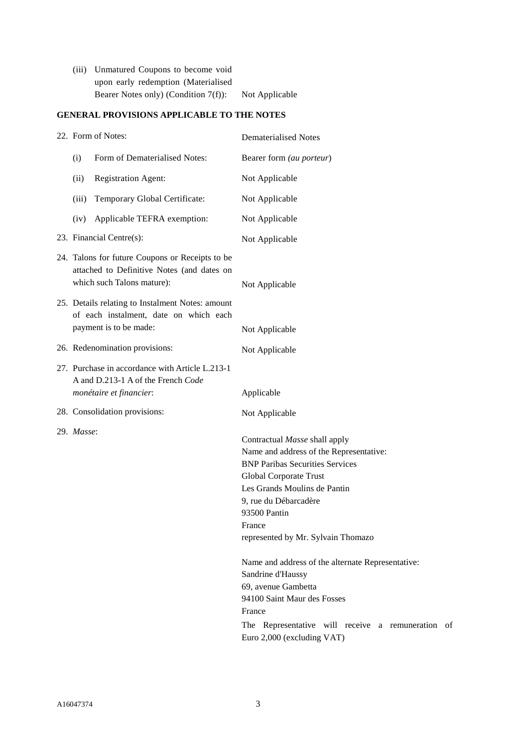| (iii) Unmatured Coupons to become void  |                |
|-----------------------------------------|----------------|
| upon early redemption (Materialised     |                |
| Bearer Notes only) (Condition $7(f)$ ): | Not Applicable |

## **GENERAL PROVISIONS APPLICABLE TO THE NOTES**

| 22. Form of Notes:                                                                                                          |                                                                                                                      | <b>Dematerialised Notes</b>                                                                                                                                                                                                                                           |
|-----------------------------------------------------------------------------------------------------------------------------|----------------------------------------------------------------------------------------------------------------------|-----------------------------------------------------------------------------------------------------------------------------------------------------------------------------------------------------------------------------------------------------------------------|
| (i)                                                                                                                         | Form of Dematerialised Notes:                                                                                        | Bearer form (au porteur)                                                                                                                                                                                                                                              |
| (ii)                                                                                                                        | <b>Registration Agent:</b>                                                                                           | Not Applicable                                                                                                                                                                                                                                                        |
| (iii)                                                                                                                       | Temporary Global Certificate:                                                                                        | Not Applicable                                                                                                                                                                                                                                                        |
| (iv)                                                                                                                        | Applicable TEFRA exemption:                                                                                          | Not Applicable                                                                                                                                                                                                                                                        |
|                                                                                                                             | 23. Financial Centre(s):                                                                                             | Not Applicable                                                                                                                                                                                                                                                        |
| 24. Talons for future Coupons or Receipts to be<br>attached to Definitive Notes (and dates on<br>which such Talons mature): |                                                                                                                      | Not Applicable                                                                                                                                                                                                                                                        |
|                                                                                                                             | 25. Details relating to Instalment Notes: amount<br>of each instalment, date on which each<br>payment is to be made: | Not Applicable                                                                                                                                                                                                                                                        |
|                                                                                                                             | 26. Redenomination provisions:                                                                                       |                                                                                                                                                                                                                                                                       |
|                                                                                                                             | 27. Purchase in accordance with Article L.213-1<br>A and D.213-1 A of the French Code                                | Not Applicable                                                                                                                                                                                                                                                        |
|                                                                                                                             | monétaire et financier:                                                                                              | Applicable                                                                                                                                                                                                                                                            |
|                                                                                                                             | 28. Consolidation provisions:                                                                                        | Not Applicable                                                                                                                                                                                                                                                        |
| 29. Masse:                                                                                                                  |                                                                                                                      | Contractual Masse shall apply<br>Name and address of the Representative:<br><b>BNP Paribas Securities Services</b><br>Global Corporate Trust<br>Les Grands Moulins de Pantin<br>9, rue du Débarcadère<br>93500 Pantin<br>France<br>represented by Mr. Sylvain Thomazo |
|                                                                                                                             |                                                                                                                      | Name and address of the alternate Representative:<br>Sandrine d'Haussy<br>69, avenue Gambetta<br>94100 Saint Maur des Fosses<br>France<br>The Representative will receive a remuneration of<br>Euro 2,000 (excluding VAT)                                             |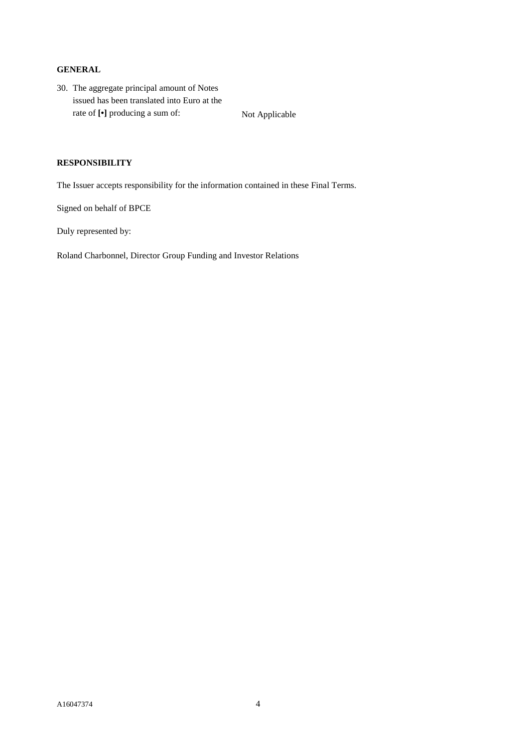#### **GENERAL**

30. The aggregate principal amount of Notes issued has been translated into Euro at the rate of  $[\cdot]$  producing a sum of: Not Applicable

## **RESPONSIBILITY**

The Issuer accepts responsibility for the information contained in these Final Terms.

Signed on behalf of BPCE

Duly represented by:

Roland Charbonnel, Director Group Funding and Investor Relations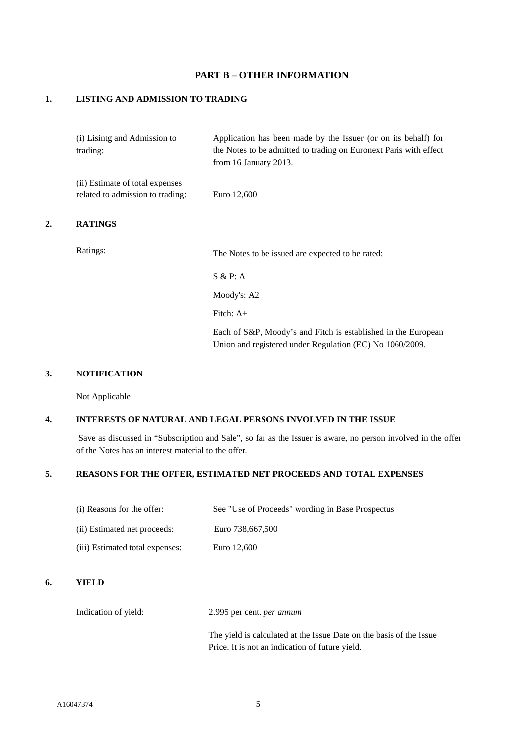## **PART B – OTHER INFORMATION**

## **1. LISTING AND ADMISSION TO TRADING**

|    | (i) Lisintg and Admission to<br>trading:                            | Application has been made by the Issuer (or on its behalf) for<br>the Notes to be admitted to trading on Euronext Paris with effect<br>from 16 January 2013. |
|----|---------------------------------------------------------------------|--------------------------------------------------------------------------------------------------------------------------------------------------------------|
|    | (ii) Estimate of total expenses<br>related to admission to trading: | Euro 12,600                                                                                                                                                  |
| 2. | <b>RATINGS</b>                                                      |                                                                                                                                                              |
|    | Ratings:                                                            | The Notes to be issued are expected to be rated:                                                                                                             |
|    |                                                                     | S & P: A                                                                                                                                                     |
|    |                                                                     | Moody's: A2                                                                                                                                                  |
|    |                                                                     | Fitch: $A+$                                                                                                                                                  |
|    |                                                                     | Each of S&P, Moody's and Fitch is established in the European<br>Union and registered under Regulation (EC) No 1060/2009.                                    |

#### **3. NOTIFICATION**

Not Applicable

#### **4. INTERESTS OF NATURAL AND LEGAL PERSONS INVOLVED IN THE ISSUE**

Save as discussed in "Subscription and Sale", so far as the Issuer is aware, no person involved in the offer of the Notes has an interest material to the offer.

## **5. REASONS FOR THE OFFER, ESTIMATED NET PROCEEDS AND TOTAL EXPENSES**

| (i) Reasons for the offer:      | See "Use of Proceeds" wording in Base Prospectus |
|---------------------------------|--------------------------------------------------|
| (ii) Estimated net proceeds:    | Euro 738,667,500                                 |
| (iii) Estimated total expenses: | Euro 12,600                                      |

## **6. YIELD**

Indication of yield: 2.995 per cent. *per annum* 

The yield is calculated at the Issue Date on the basis of the Issue Price. It is not an indication of future yield.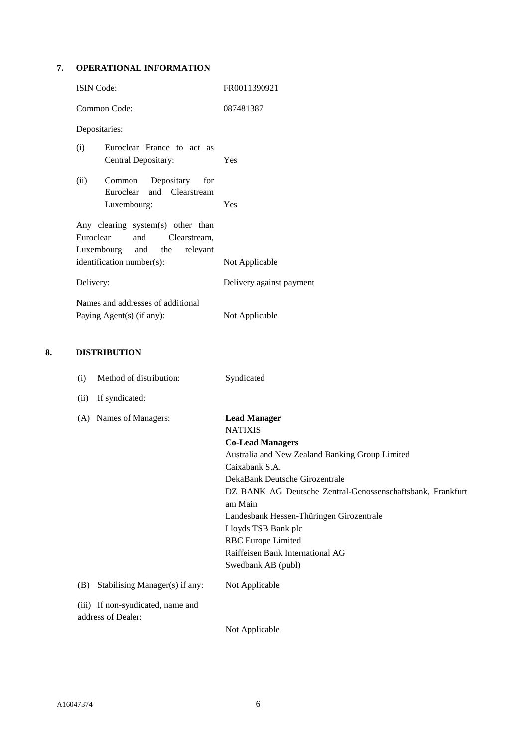## **7. OPERATIONAL INFORMATION**

| <b>ISIN</b> Code:                                                                                    | FR0011390921             |  |  |
|------------------------------------------------------------------------------------------------------|--------------------------|--|--|
| Common Code:                                                                                         | 087481387                |  |  |
| Depositaries:                                                                                        |                          |  |  |
| (i)<br>Euroclear France to act as<br>Central Depositary:                                             | Yes                      |  |  |
| Common Depositary for<br>(ii)<br>Euroclear and Clearstream                                           |                          |  |  |
| Luxembourg:                                                                                          | Yes                      |  |  |
| Any clearing system(s) other than<br>Euroclear<br>and<br>Clearstream,<br>Luxembourg and the relevant |                          |  |  |
| identification number(s):                                                                            | Not Applicable           |  |  |
| Delivery:                                                                                            | Delivery against payment |  |  |
| Names and addresses of additional                                                                    |                          |  |  |
| Paying Agent(s) (if any):                                                                            | Not Applicable           |  |  |

## **8. DISTRIBUTION**

| (i)  | Method of distribution:                                 | Syndicated                                                 |
|------|---------------------------------------------------------|------------------------------------------------------------|
| (ii) | If syndicated:                                          |                                                            |
| (A)  | Names of Managers:                                      | <b>Lead Manager</b>                                        |
|      |                                                         | <b>NATIXIS</b>                                             |
|      |                                                         | <b>Co-Lead Managers</b>                                    |
|      |                                                         | Australia and New Zealand Banking Group Limited            |
|      |                                                         | Caixabank S.A.                                             |
|      |                                                         | DekaBank Deutsche Girozentrale                             |
|      |                                                         | DZ BANK AG Deutsche Zentral-Genossenschaftsbank, Frankfurt |
|      |                                                         | am Main                                                    |
|      |                                                         | Landesbank Hessen-Thüringen Girozentrale                   |
|      |                                                         | Lloyds TSB Bank plc                                        |
|      |                                                         | <b>RBC</b> Europe Limited                                  |
|      |                                                         | Raiffeisen Bank International AG                           |
|      |                                                         | Swedbank AB (publ)                                         |
| (B)  | Stabilising Manager(s) if any:                          | Not Applicable                                             |
|      | (iii) If non-syndicated, name and<br>address of Dealer: |                                                            |
|      |                                                         | Not Applicable                                             |
|      |                                                         |                                                            |